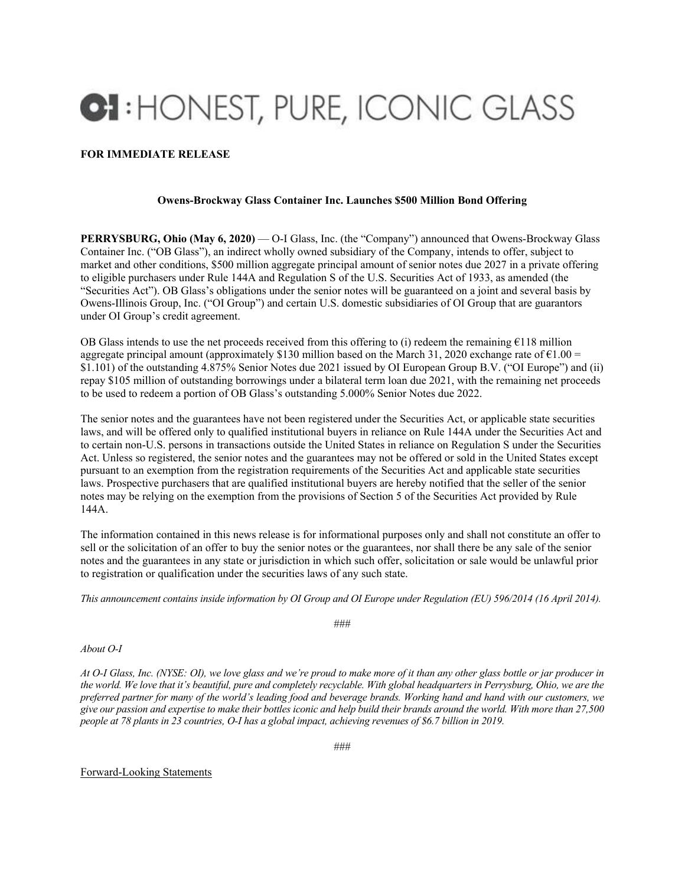## **CI:** HONEST, PURE, ICONIC GLASS

## **FOR IMMEDIATE RELEASE**

## **Owens-Brockway Glass Container Inc. Launches \$500 Million Bond Offering**

**PERRYSBURG, Ohio (May 6, 2020)** — O-I Glass, Inc. (the "Company") announced that Owens-Brockway Glass Container Inc. ("OB Glass"), an indirect wholly owned subsidiary of the Company, intends to offer, subject to market and other conditions, \$500 million aggregate principal amount of senior notes due 2027 in a private offering to eligible purchasers under Rule 144A and Regulation S of the U.S. Securities Act of 1933, as amended (the "Securities Act"). OB Glass's obligations under the senior notes will be guaranteed on a joint and several basis by Owens-Illinois Group, Inc. ("OI Group") and certain U.S. domestic subsidiaries of OI Group that are guarantors under OI Group's credit agreement.

OB Glass intends to use the net proceeds received from this offering to (i) redeem the remaining  $E118$  million aggregate principal amount (approximately \$130 million based on the March 31, 2020 exchange rate of  $\epsilon$ 1.00 = \$1.101) of the outstanding 4.875% Senior Notes due 2021 issued by OI European Group B.V. ("OI Europe") and (ii) repay \$105 million of outstanding borrowings under a bilateral term loan due 2021, with the remaining net proceeds to be used to redeem a portion of OB Glass's outstanding 5.000% Senior Notes due 2022.

The senior notes and the guarantees have not been registered under the Securities Act, or applicable state securities laws, and will be offered only to qualified institutional buyers in reliance on Rule 144A under the Securities Act and to certain non-U.S. persons in transactions outside the United States in reliance on Regulation S under the Securities Act. Unless so registered, the senior notes and the guarantees may not be offered or sold in the United States except pursuant to an exemption from the registration requirements of the Securities Act and applicable state securities laws. Prospective purchasers that are qualified institutional buyers are hereby notified that the seller of the senior notes may be relying on the exemption from the provisions of Section 5 of the Securities Act provided by Rule 144A.

The information contained in this news release is for informational purposes only and shall not constitute an offer to sell or the solicitation of an offer to buy the senior notes or the guarantees, nor shall there be any sale of the senior notes and the guarantees in any state or jurisdiction in which such offer, solicitation or sale would be unlawful prior to registration or qualification under the securities laws of any such state.

*This announcement contains inside information by OI Group and OI Europe under Regulation (EU) 596/2014 (16 April 2014).* 

###

## *About O-I*

*At O-I Glass, Inc. (NYSE: OI), we love glass and we're proud to make more of it than any other glass bottle or jar producer in the world. We love that it's beautiful, pure and completely recyclable. With global headquarters in Perrysburg, Ohio, we are the preferred partner for many of the world's leading food and beverage brands. Working hand and hand with our customers, we give our passion and expertise to make their bottles iconic and help build their brands around the world. With more than 27,500 people at 78 plants in 23 countries, O-I has a global impact, achieving revenues of \$6.7 billion in 2019.* 

###

Forward-Looking Statements